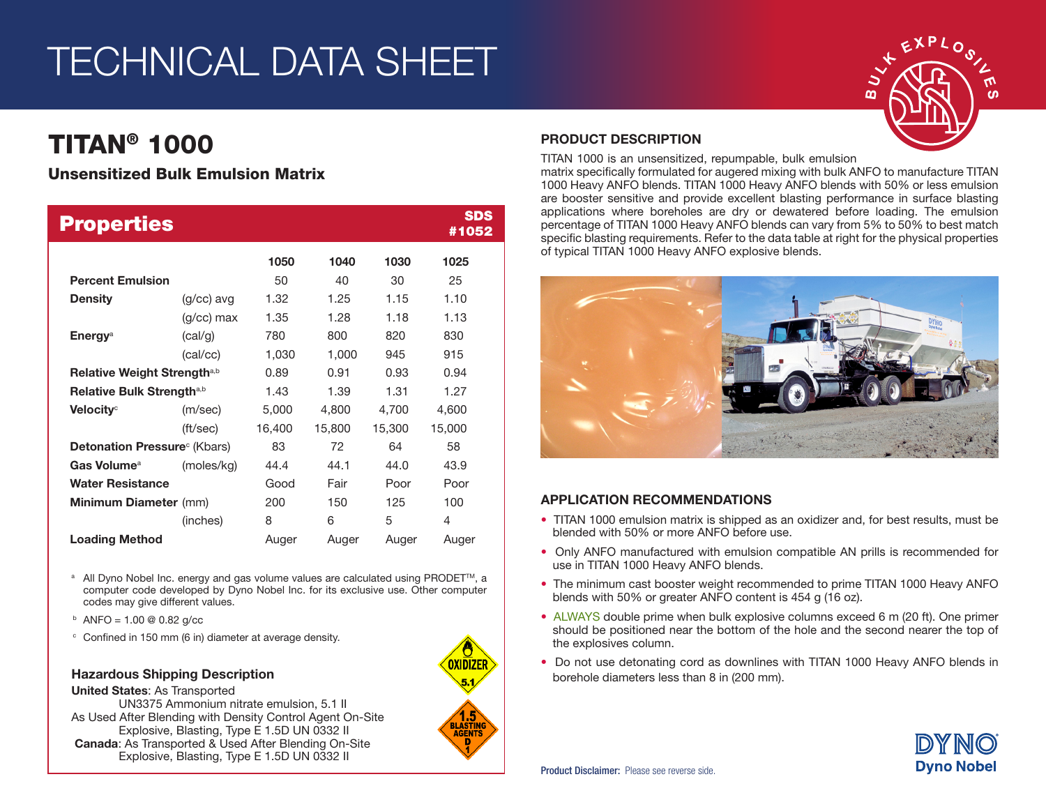# TECHNICAL DATA SHEET

# TITAN® 1000

## Unsensitized Bulk Emulsion Matrix

| <b>Properties</b>                       |              |        |        |        | <b>SDS</b><br>#1052 |
|-----------------------------------------|--------------|--------|--------|--------|---------------------|
|                                         |              | 1050   | 1040   | 1030   | 1025                |
| <b>Percent Emulsion</b>                 |              | 50     | 40     | 30     | 25                  |
| <b>Density</b>                          | $(g/cc)$ avg | 1.32   | 1.25   | 1.15   | 1.10                |
|                                         | $(g/cc)$ max | 1.35   | 1.28   | 1.18   | 1.13                |
| <b>Energy<sup>a</sup></b>               | (cal/g)      | 780    | 800    | 820    | 830                 |
|                                         | (cal/cc)     | 1,030  | 1,000  | 945    | 915                 |
| Relative Weight Strength <sup>a,b</sup> |              | 0.89   | 0.91   | 0.93   | 0.94                |
| Relative Bulk Strength <sup>a,b</sup>   |              | 1.43   | 1.39   | 1.31   | 1.27                |
| Velocity <sup>c</sup>                   | (m/sec)      | 5,000  | 4,800  | 4,700  | 4,600               |
|                                         | (ft/sec)     | 16,400 | 15,800 | 15,300 | 15,000              |
| <b>Detonation Pressure</b> (Kbars)      |              | 83     | 72     | 64     | 58                  |
| Gas Volume <sup>a</sup>                 | (moles/kg)   | 44.4   | 44.1   | 44.0   | 43.9                |
| <b>Water Resistance</b>                 |              | Good   | Fair   | Poor   | Poor                |
| <b>Minimum Diameter</b> (mm)            |              | 200    | 150    | 125    | 100                 |
|                                         | (inches)     | 8      | 6      | 5      | 4                   |
| <b>Loading Method</b>                   |              | Auger  | Auger  | Auger  | Auger               |

<sup>a</sup> All Dyno Nobel Inc. energy and gas volume values are calculated using PRODET<sup>™</sup>, a computer code developed by Dyno Nobel Inc. for its exclusive use. Other computer codes may give different values.

- $b$  ANFO = 1.00 @ 0.82 g/cc
- <sup>c</sup> Confined in 150 mm (6 in) diameter at average density.

#### Hazardous Shipping Description

United States: As Transported UN3375 Ammonium nitrate emulsion, 5.1 II As Used After Blending with Density Control Agent On-Site Explosive, Blasting, Type E 1.5D UN 0332 II Canada: As Transported & Used After Blending On-Site Explosive, Blasting, Type E 1.5D UN 0332 II



### PRODUCT DESCRIPTION

TITAN 1000 is an unsensitized, repumpable, bulk emulsion

matrix specifically formulated for augered mixing with bulk ANFO to manufacture TITAN 1000 Heavy ANFO blends. TITAN 1000 Heavy ANFO blends with 50% or less emulsion are booster sensitive and provide excellent blasting performance in surface blasting applications where boreholes are dry or dewatered before loading. The emulsion percentage of TITAN 1000 Heavy ANFO blends can vary from 5% to 50% to best match specific blasting requirements. Refer to the data table at right for the physical properties of typical TITAN 1000 Heavy ANFO explosive blends.



### APPLICATION RECOMMENDATIONS

- TITAN 1000 emulsion matrix is shipped as an oxidizer and, for best results, must be blended with 50% or more ANFO before use.
- Only ANFO manufactured with emulsion compatible AN prills is recommended for use in TITAN 1000 Heavy ANFO blends.
- The minimum cast booster weight recommended to prime TITAN 1000 Heavy ANFO blends with 50% or greater ANFO content is 454 g (16 oz).
- ALWAYS double prime when bulk explosive columns exceed 6 m (20 ft). One primer should be positioned near the bottom of the hole and the second nearer the top of the explosives column.
- Do not use detonating cord as downlines with TITAN 1000 Heavy ANFO blends in borehole diameters less than 8 in (200 mm).



ഗ